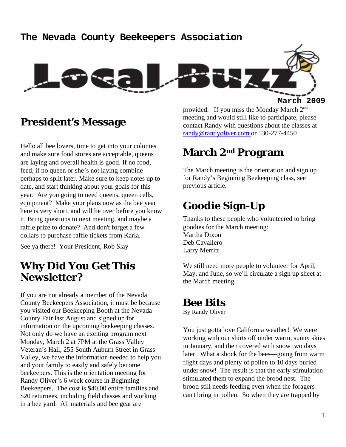#### **The Nevada County Beekeepers Association**



### **President's Message**

Hello all bee lovers, time to get into your colonies and make sure food stores are acceptable, queens are laying and overall health is good. If no food, feed, if no queen or she's not laying combine perhaps to split later. Make sure to keep notes up to date, and start thinking about your goals for this year. Are you going to need queens, queen cells, equipment? Make your plans now as the bee year here is very short, and will be over before you know it. Bring questions to next meeting, and maybe a raffle prize to donate? And don't forget a few dollars to purchase raffle tickets from Karla.

See ya there! Your President, Rob Slay

## **Why Did You Get This Newsletter?**

If you are not already a member of the Nevada County Beekeepers Association, it must be because you visited our Beekeeping Booth at the Nevada County Fair last August and signed up for information on the upcoming beekeeping classes. Not only do we have an exciting program next Monday, March 2 at 7PM at the Grass Valley Veteran's Hall, 255 South Auburn Street in Grass Valley, we have the information needed to help you and your family to easily and safely become beekeepers. This is the orientation meeting for Randy Oliver's 6 week course in Beginning Beekeepers. The cost is \$40.00 entire families and \$20 returnees, including field classes and working in a bee yard. All materials and bee gear are

provided. If you miss the Monday March 2<sup>nd</sup> meeting and would still like to participate, please contact Randy with questions about the classes at randy@randyoliver.com or 530-277-4450

## **March 2nd Program**

The March meeting is the orientation and sign up for Randy's Beginning Beekeeping class, see previous article.

## **Goodie Sign-Up**

Thanks to these people who volunteered to bring goodies for the March meeting: Martha Dixon Deb Cavallero Larry Merritt

We still need more people to volunteer for April, May, and June, so we'll circulate a sign up sheet at the March meeting.

#### **Bee Bits**

By Randy Oliver

You just gotta love California weather! We were working with our shirts off under warm, sunny skies in January, and then covered with snow two days later. What a shock for the bees—going from warm flight days and plenty of pollen to 10 days buried under snow! The result is that the early stimulation stimulated them to expand the brood nest. The brood still needs feeding even when the foragers can't bring in pollen. So when they are trapped by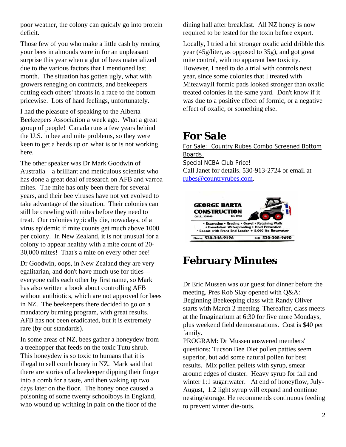poor weather, the colony can quickly go into protein deficit.

Those few of you who make a little cash by renting your bees in almonds were in for an unpleasant surprise this year when a glut of bees materialized due to the various factors that I mentioned last month. The situation has gotten ugly, what with growers reneging on contracts, and beekeepers cutting each others' throats in a race to the bottom pricewise. Lots of hard feelings, unfortunately.

I had the pleasure of speaking to the Alberta Beekeepers Association a week ago. What a great group of people! Canada runs a few years behind the U.S. in bee and mite problems, so they were keen to get a heads up on what is or is not working here.

The other speaker was Dr Mark Goodwin of Australia—a brilliant and meticulous scientist who has done a great deal of research on AFB and varroa mites. The mite has only been there for several years, and their bee viruses have not yet evolved to take advantage of the situation. Their colonies can still be crawling with mites before they need to treat. Our colonies typically die, nowadays, of a virus epidemic if mite counts get much above 1000 per colony. In New Zealand, it is not unusual for a colony to appear healthy with a mite count of 20- 30,000 mites! That's a mite on every other bee!

Dr Goodwin, oops, in New Zealand they are very egalitarian, and don't have much use for titles everyone calls each other by first name, so Mark has also written a book about controlling AFB without antibiotics, which are not approved for bees in NZ. The beekeepers there decided to go on a mandatory burning program, with great results. AFB has not been eradicated, but it is extremely rare (by our standards).

In some areas of NZ, bees gather a honeydew from a treehopper that feeds on the toxic Tutu shrub. This honeydew is so toxic to humans that it is illegal to sell comb honey in NZ. Mark said that there are stories of a beekeeper dipping their finger into a comb for a taste, and then waking up two days later on the floor. The honey once caused a poisoning of some twenty schoolboys in England, who wound up writhing in pain on the floor of the

dining hall after breakfast. All NZ honey is now required to be tested for the toxin before export.

Locally, I tried a bit stronger oxalic acid dribble this year (45g/liter, as opposed to 35g), and got great mite control, with no apparent bee toxicity. However, I need to do a trial with controls next year, since some colonies that I treated with MiteawayII formic pads looked stronger than oxalic treated colonies in the same yard. Don't know if it was due to a positive effect of formic, or a negative effect of oxalic, or something else.

## **For Sale**

For Sale: Country Rubes Combo Screened Bottom Boards Special NCBA Club Price! Call Janet for details. 530-913-2724 or email at rubes@countryrubes.com.



## **February Minutes**

Dr Eric Mussen was our guest for dinner before the meeting. Pres Rob Slay opened with Q&A: Beginning Beekeeping class with Randy Oliver starts with March 2 meeting. Thereafter, class meets at the Imaginarium at 6:30 for five more Mondays, plus weekend field demonstrations. Cost is \$40 per family.

PROGRAM: Dr Mussen answered members' questions: Tucson Bee Diet pollen patties seem superior, but add some natural pollen for best results. Mix pollen pellets with syrup, smear around edges of cluster. Heavy syrup for fall and winter 1:1 sugar:water. At end of honeyflow, July-August, 1:2 light syrup will expand and continue nesting/storage. He recommends continuous feeding to prevent winter die-outs.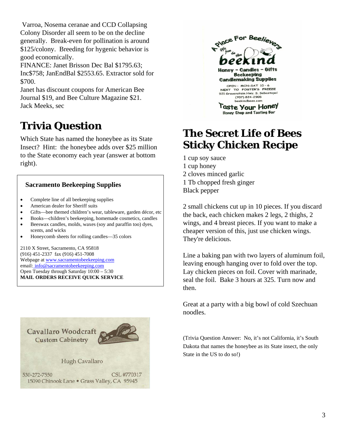Varroa, Nosema ceranae and CCD Collapsing Colony Disorder all seem to be on the decline generally. Break-even for pollination is around \$125/colony. Breeding for hygenic behavior is good economically.

FINANCE: Janet Brisson Dec Bal \$1795.63; Inc\$758; JanEndBal \$2553.65. Extractor sold for \$700.

Janet has discount coupons for American Bee Journal \$19, and Bee Culture Magazine \$21. Jack Meeks, sec

# **Trivia Question**

Which State has named the honeybee as its State Insect? Hint: the honeybee adds over \$25 million to the State economy each year (answer at bottom right).

#### **Sacramento Beekeeping Supplies**

- Complete line of all beekeeping supplies
- American dealer for Sheriff suits
- Gifts—bee themed children's wear, tableware, garden décor, etc
- Books—children's beekeeping, homemade cosmetics, candles
- Beeswax candles, molds, waxes (soy and paraffin too) dyes, scents, and wicks
- Honeycomb sheets for rolling candles—35 colors

2110 X Street, Sacramento, CA 95818 (916) 451-2337 fax (916) 451-7008 Webpage at www.sacramentobeekeeping.com email: info@sacramentobeekeeping.com Open Tuesday through Saturday 10:00 – 5:30 **MAIL ORDERS RECEIVE QUICK SERVICE**





Honey Shop and Tasting Bar

## **The Secret Life of Bees Sticky Chicken Recipe**

1 cup soy sauce 1 cup honey 2 cloves minced garlic 1 Tb chopped fresh ginger Black pepper

2 small chickens cut up in 10 pieces. If you discard the back, each chicken makes 2 legs, 2 thighs, 2 wings, and 4 breast pieces. If you want to make a cheaper version of this, just use chicken wings. They're delicious.

Line a baking pan with two layers of aluminum foil, leaving enough hanging over to fold over the top. Lay chicken pieces on foil. Cover with marinade, seal the foil. Bake 3 hours at 325. Turn now and then.

Great at a party with a big bowl of cold Szechuan noodles.

(Trivia Question Answer: No, it's not California, it's South Dakota that names the honeybee as its State insect, the only State in the US to do so!)